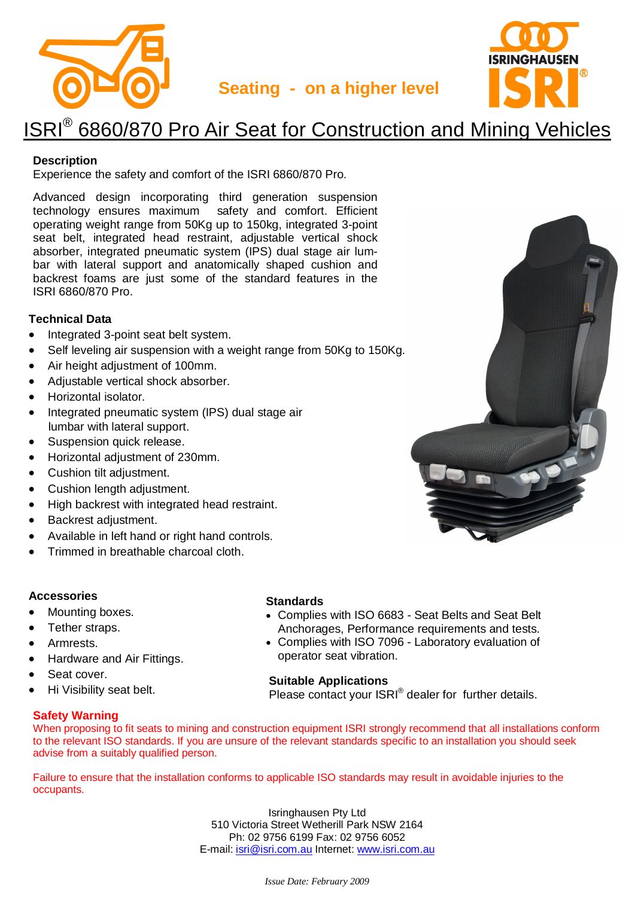



## **Seating - on a higher level**

# ISRI<sup>®</sup> 6860/870 Pro Air Seat for Construction and Mining Vehicles

## **Description**

Experience the safety and comfort of the ISRI 6860/870 Pro.

Advanced design incorporating third generation suspension technology ensures maximum safety and comfort. Efficient operating weight range from 50Kg up to 150kg, integrated 3-point seat belt, integrated head restraint, adjustable vertical shock absorber, integrated pneumatic system (IPS) dual stage air lumbar with lateral support and anatomically shaped cushion and backrest foams are just some of the standard features in the ISRI 6860/870 Pro.

### **Technical Data**

- Integrated 3-point seat belt system.
- Self leveling air suspension with a weight range from 50Kg to 150Kg.
- Air height adjustment of 100mm.
- Adjustable vertical shock absorber.
- Horizontal isolator.
- Integrated pneumatic system (IPS) dual stage air lumbar with lateral support.
- Suspension quick release.
- Horizontal adjustment of 230mm.
- Cushion tilt adiustment.
- Cushion length adjustment.
- High backrest with integrated head restraint.
- Backrest adjustment.
- Available in left hand or right hand controls.
- Trimmed in breathable charcoal cloth.

## **Accessories**

- Mounting boxes.
- Tether straps.
- Armrests.
- Hardware and Air Fittings.
- Seat cover.
- Hi Visibility seat belt.

## **Safety Warning**

### **Standards**

- Complies with ISO 6683 Seat Belts and Seat Belt Anchorages, Performance requirements and tests.
- Complies with ISO 7096 Laboratory evaluation of operator seat vibration.

#### **Suitable Applications**

Please contact your ISRI® dealer for further details.

When proposing to fit seats to mining and construction equipment ISRI strongly recommend that all installations conform to the relevant ISO standards. If you are unsure of the relevant standards specific to an installation you should seek advise from a suitably qualified person.

Failure to ensure that the installation conforms to applicable ISO standards may result in avoidable injuries to the occupants.

> Isringhausen Pty Ltd 510 Victoria Street Wetherill Park NSW 2164 Ph: 02 9756 6199 Fax: 02 9756 6052 E-mail: isri@isri.com.au Internet: www.isri.com.au